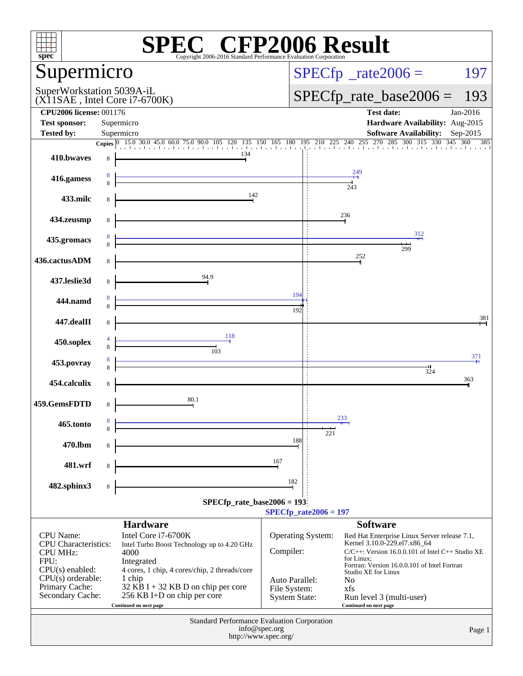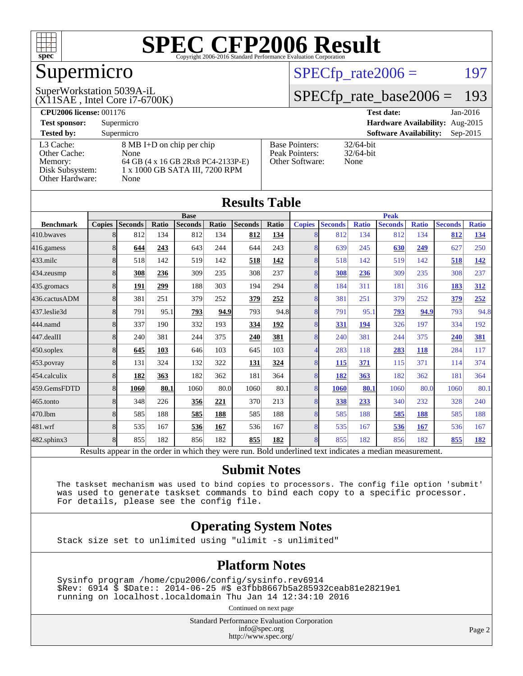

# Supermicro

#### (X11SAE , Intel Core i7-6700K) SuperWorkstation 5039A-iL

 $SPECTp_rate2006 = 197$ 

### [SPECfp\\_rate\\_base2006 =](http://www.spec.org/auto/cpu2006/Docs/result-fields.html#SPECfpratebase2006) 193

| <b>CPU2006 license: 001176</b>                                             |                                                                                                                   |                                                            | <b>Test date:</b><br>$Jan-2016$             |  |  |  |
|----------------------------------------------------------------------------|-------------------------------------------------------------------------------------------------------------------|------------------------------------------------------------|---------------------------------------------|--|--|--|
| <b>Test sponsor:</b>                                                       | Supermicro                                                                                                        |                                                            | Hardware Availability: Aug-2015             |  |  |  |
| <b>Tested by:</b>                                                          | Supermicro                                                                                                        |                                                            | <b>Software Availability:</b><br>$Sep-2015$ |  |  |  |
| L3 Cache:<br>Other Cache:<br>Memory:<br>Disk Subsystem:<br>Other Hardware: | 8 MB I+D on chip per chip<br>None<br>64 GB (4 x 16 GB 2Rx8 PC4-2133P-E)<br>1 x 1000 GB SATA III, 7200 RPM<br>None | <b>Base Pointers:</b><br>Peak Pointers:<br>Other Software: | $32/64$ -bit<br>$32/64$ -bit<br>None        |  |  |  |

| Results Table    |               |                 |              |                |       |                |             |                |                                       |              |                |              |                |              |
|------------------|---------------|-----------------|--------------|----------------|-------|----------------|-------------|----------------|---------------------------------------|--------------|----------------|--------------|----------------|--------------|
|                  | <b>Base</b>   |                 |              |                |       |                | <b>Peak</b> |                |                                       |              |                |              |                |              |
| <b>Benchmark</b> | <b>Copies</b> | <b>Seconds</b>  | Ratio        | <b>Seconds</b> | Ratio | <b>Seconds</b> | Ratio       | <b>Copies</b>  | <b>Seconds</b>                        | <b>Ratio</b> | <b>Seconds</b> | <b>Ratio</b> | <b>Seconds</b> | <b>Ratio</b> |
| 410.bwayes       | 8             | 812             | 134          | 812            | 134   | 812            | 134         | 8              | 812                                   | 134          | 812            | 134          | 812            | <u>134</u>   |
| 416.gamess       | 8             | 644             | 243          | 643            | 244   | 644            | 243         | 8              | 639                                   | 245          | 630            | 249          | 627            | 250          |
| $433$ .milc      | 8             | 518             | 142          | 519            | 142   | 518            | 142         | 8              | 518                                   | 142          | 519            | 142          | 518            | <u>142</u>   |
| 434.zeusmp       | 8             | 308             | 236          | 309            | 235   | 308            | 237         | 8              | 308                                   | 236          | 309            | 235          | 308            | 237          |
| 435.gromacs      | 8             | 191             | 299          | 188            | 303   | 194            | 294         | 8              | 184                                   | 311          | 181            | 316          | 183            | 312          |
| 436.cactusADM    | 8             | 381             | 251          | 379            | 252   | 379            | 252         | 8              | 381                                   | 251          | 379            | 252          | 379            | 252          |
| 437.leslie3d     | 8             | 791             | 95.1         | 793            | 94.9  | 793            | 94.8        | 8              | 791                                   | 95.1         | 793            | 94.9         | 793            | 94.8         |
| 444.namd         | 8             | 337             | 190          | 332            | 193   | 334            | 192         | 8              | 331                                   | 194          | 326            | 197          | 334            | 192          |
| 447.dealII       | 8             | 240             | 381          | 244            | 375   | 240            | 381         | $\overline{8}$ | 240                                   | 381          | 244            | 375          | 240            | 381          |
| 450.soplex       | 8             | 645             | 103          | 646            | 103   | 645            | 103         | 4              | 283                                   | 118          | 283            | 118          | 284            | 117          |
| 453.povray       | 8             | 131             | 324          | 132            | 322   | 131            | 324         | 8              | 115                                   | 371          | 115            | 371          | 114            | 374          |
| 454.calculix     | 8             | 182             | 363          | 182            | 362   | 181            | 364         | 8              | 182                                   | 363          | 182            | 362          | 181            | 364          |
| 459.GemsFDTD     | 8             | 1060            | 80.1         | 1060           | 80.0  | 1060           | 80.1        | 8 <sup>l</sup> | <b>1060</b>                           | 80.1         | 1060           | 80.0         | 1060           | 80.1         |
| 465.tonto        | 8             | 348             | 226          | 356            | 221   | 370            | 213         | 8              | 338                                   | 233          | 340            | 232          | 328            | 240          |
| 470.1bm          | 8             | 585             | 188          | 585            | 188   | 585            | 188         | 8              | 585                                   | 188          | 585            | 188          | 585            | 188          |
| 481.wrf          | 8             | 535             | 167          | 536            | 167   | 536            | 167         | 8              | 535                                   | 167          | 536            | 167          | 536            | 167          |
| 482.sphinx3      | 8             | 855             | 182          | 856            | 182   | 855            | 182         | 8              | 855                                   | 182          | 856            | 182          | 855            | <u>182</u>   |
| n.               | 1.1           | $\cdot$ $\cdot$ | $\mathbf{1}$ | 1.1.1.1        |       |                | T11         | $1 \quad 1$    | 11.7.7.7<br>$\mathbf{1}$ $\mathbf{1}$ |              | $\cdot$        |              |                |              |

Results appear in the [order in which they were run.](http://www.spec.org/auto/cpu2006/Docs/result-fields.html#RunOrder) Bold underlined text [indicates a median measurement.](http://www.spec.org/auto/cpu2006/Docs/result-fields.html#Median)

#### **[Submit Notes](http://www.spec.org/auto/cpu2006/Docs/result-fields.html#SubmitNotes)**

 The taskset mechanism was used to bind copies to processors. The config file option 'submit' was used to generate taskset commands to bind each copy to a specific processor. For details, please see the config file.

#### **[Operating System Notes](http://www.spec.org/auto/cpu2006/Docs/result-fields.html#OperatingSystemNotes)**

Stack size set to unlimited using "ulimit -s unlimited"

#### **[Platform Notes](http://www.spec.org/auto/cpu2006/Docs/result-fields.html#PlatformNotes)**

 Sysinfo program /home/cpu2006/config/sysinfo.rev6914 \$Rev: 6914 \$ \$Date:: 2014-06-25 #\$ e3fbb8667b5a285932ceab81e28219e1 running on localhost.localdomain Thu Jan 14 12:34:10 2016

Continued on next page

Standard Performance Evaluation Corporation [info@spec.org](mailto:info@spec.org) <http://www.spec.org/>

Page 2

#### **[Results Table](http://www.spec.org/auto/cpu2006/Docs/result-fields.html#ResultsTable)**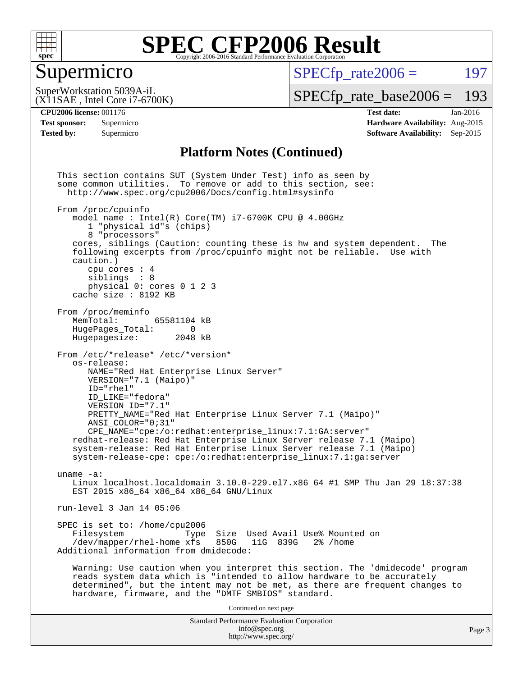

#### Supermicro

 $SPECTp\_rate2006 = 197$ 

(X11SAE , Intel Core i7-6700K) SuperWorkstation 5039A-iL

[SPECfp\\_rate\\_base2006 =](http://www.spec.org/auto/cpu2006/Docs/result-fields.html#SPECfpratebase2006) 193

**[CPU2006 license:](http://www.spec.org/auto/cpu2006/Docs/result-fields.html#CPU2006license)** 001176 **[Test date:](http://www.spec.org/auto/cpu2006/Docs/result-fields.html#Testdate)** Jan-2016

**[Test sponsor:](http://www.spec.org/auto/cpu2006/Docs/result-fields.html#Testsponsor)** Supermicro **[Hardware Availability:](http://www.spec.org/auto/cpu2006/Docs/result-fields.html#HardwareAvailability)** Aug-2015 **[Tested by:](http://www.spec.org/auto/cpu2006/Docs/result-fields.html#Testedby)** Supermicro **Supermicro [Software Availability:](http://www.spec.org/auto/cpu2006/Docs/result-fields.html#SoftwareAvailability)** Sep-2015

#### **[Platform Notes \(Continued\)](http://www.spec.org/auto/cpu2006/Docs/result-fields.html#PlatformNotes)**

Standard Performance Evaluation Corporation [info@spec.org](mailto:info@spec.org) <http://www.spec.org/> This section contains SUT (System Under Test) info as seen by some common utilities. To remove or add to this section, see: <http://www.spec.org/cpu2006/Docs/config.html#sysinfo> From /proc/cpuinfo model name : Intel(R) Core(TM) i7-6700K CPU @ 4.00GHz 1 "physical id"s (chips) 8 "processors" cores, siblings (Caution: counting these is hw and system dependent. The following excerpts from /proc/cpuinfo might not be reliable. Use with caution.) cpu cores : 4 siblings : 8 physical 0: cores 0 1 2 3 cache size : 8192 KB From /proc/meminfo MemTotal: 65581104 kB<br>HugePages Total: 0 HugePages\_Total: 0<br>Hugepagesize: 2048 kB Hugepagesize: From /etc/\*release\* /etc/\*version\* os-release: NAME="Red Hat Enterprise Linux Server" VERSION="7.1 (Maipo)" ID="rhel" ID\_LIKE="fedora" VERSION\_ID="7.1" PRETTY\_NAME="Red Hat Enterprise Linux Server 7.1 (Maipo)" ANSI\_COLOR="0;31" CPE\_NAME="cpe:/o:redhat:enterprise\_linux:7.1:GA:server" redhat-release: Red Hat Enterprise Linux Server release 7.1 (Maipo) system-release: Red Hat Enterprise Linux Server release 7.1 (Maipo) system-release-cpe: cpe:/o:redhat:enterprise\_linux:7.1:ga:server uname -a: Linux localhost.localdomain 3.10.0-229.el7.x86\_64 #1 SMP Thu Jan 29 18:37:38 EST 2015 x86\_64 x86\_64 x86\_64 GNU/Linux run-level 3 Jan 14 05:06 SPEC is set to: /home/cpu2006<br>Filesystem Type Type Size Used Avail Use% Mounted on<br>xfs 850G 11G 839G 2% /home /dev/mapper/rhel-home xfs 850G Additional information from dmidecode: Warning: Use caution when you interpret this section. The 'dmidecode' program reads system data which is "intended to allow hardware to be accurately determined", but the intent may not be met, as there are frequent changes to hardware, firmware, and the "DMTF SMBIOS" standard. Continued on next page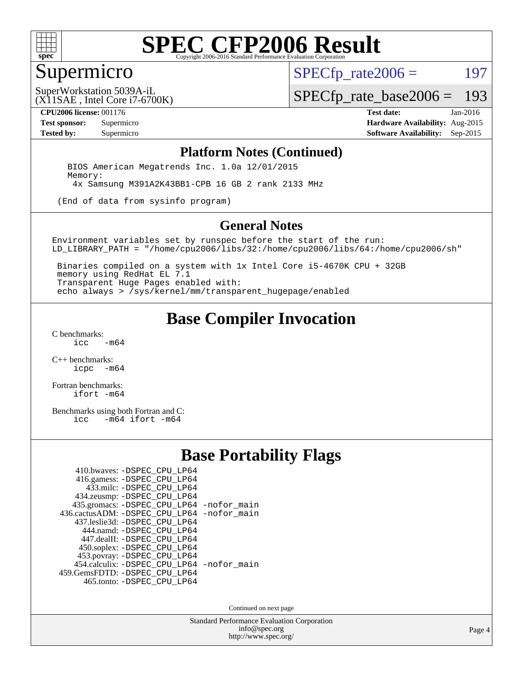

#### Supermicro

 $SPECTp\_rate2006 = 197$ 

(X11SAE , Intel Core i7-6700K) SuperWorkstation 5039A-iL

[SPECfp\\_rate\\_base2006 =](http://www.spec.org/auto/cpu2006/Docs/result-fields.html#SPECfpratebase2006) 193

**[CPU2006 license:](http://www.spec.org/auto/cpu2006/Docs/result-fields.html#CPU2006license)** 001176 **[Test date:](http://www.spec.org/auto/cpu2006/Docs/result-fields.html#Testdate)** Jan-2016

**[Test sponsor:](http://www.spec.org/auto/cpu2006/Docs/result-fields.html#Testsponsor)** Supermicro **[Hardware Availability:](http://www.spec.org/auto/cpu2006/Docs/result-fields.html#HardwareAvailability)** Aug-2015 **[Tested by:](http://www.spec.org/auto/cpu2006/Docs/result-fields.html#Testedby)** Supermicro **Supermicro [Software Availability:](http://www.spec.org/auto/cpu2006/Docs/result-fields.html#SoftwareAvailability)** Sep-2015

#### **[Platform Notes \(Continued\)](http://www.spec.org/auto/cpu2006/Docs/result-fields.html#PlatformNotes)**

 BIOS American Megatrends Inc. 1.0a 12/01/2015 Memory: 4x Samsung M391A2K43BB1-CPB 16 GB 2 rank 2133 MHz

(End of data from sysinfo program)

#### **[General Notes](http://www.spec.org/auto/cpu2006/Docs/result-fields.html#GeneralNotes)**

Environment variables set by runspec before the start of the run: LD\_LIBRARY\_PATH = "/home/cpu2006/libs/32:/home/cpu2006/libs/64:/home/cpu2006/sh"

 Binaries compiled on a system with 1x Intel Core i5-4670K CPU + 32GB memory using RedHat EL 7.1 Transparent Huge Pages enabled with: echo always > /sys/kernel/mm/transparent\_hugepage/enabled

#### **[Base Compiler Invocation](http://www.spec.org/auto/cpu2006/Docs/result-fields.html#BaseCompilerInvocation)**

[C benchmarks](http://www.spec.org/auto/cpu2006/Docs/result-fields.html#Cbenchmarks):  $-m64$ 

[C++ benchmarks:](http://www.spec.org/auto/cpu2006/Docs/result-fields.html#CXXbenchmarks) [icpc -m64](http://www.spec.org/cpu2006/results/res2016q1/cpu2006-20160120-38743.flags.html#user_CXXbase_intel_icpc_64bit_bedb90c1146cab66620883ef4f41a67e)

[Fortran benchmarks](http://www.spec.org/auto/cpu2006/Docs/result-fields.html#Fortranbenchmarks): [ifort -m64](http://www.spec.org/cpu2006/results/res2016q1/cpu2006-20160120-38743.flags.html#user_FCbase_intel_ifort_64bit_ee9d0fb25645d0210d97eb0527dcc06e)

[Benchmarks using both Fortran and C](http://www.spec.org/auto/cpu2006/Docs/result-fields.html#BenchmarksusingbothFortranandC):<br>icc -m64 ifort -m64  $-m64$  ifort  $-m64$ 

#### **[Base Portability Flags](http://www.spec.org/auto/cpu2006/Docs/result-fields.html#BasePortabilityFlags)**

| 410.bwaves: -DSPEC CPU LP64                 |  |
|---------------------------------------------|--|
| 416.gamess: -DSPEC_CPU_LP64                 |  |
| 433.milc: -DSPEC CPU LP64                   |  |
| 434.zeusmp: -DSPEC_CPU_LP64                 |  |
| 435.gromacs: -DSPEC_CPU_LP64 -nofor_main    |  |
| 436.cactusADM: -DSPEC CPU LP64 -nofor main  |  |
| 437.leslie3d: -DSPEC CPU LP64               |  |
| 444.namd: -DSPEC CPU LP64                   |  |
| 447.dealII: -DSPEC_CPU_LP64                 |  |
| 450.soplex: -DSPEC_CPU_LP64                 |  |
| 453.povray: -DSPEC_CPU_LP64                 |  |
| 454.calculix: - DSPEC CPU LP64 - nofor main |  |
| 459. GemsFDTD: - DSPEC CPU LP64             |  |
| 465.tonto: -DSPEC_CPU_LP64                  |  |

Continued on next page

Standard Performance Evaluation Corporation [info@spec.org](mailto:info@spec.org) <http://www.spec.org/>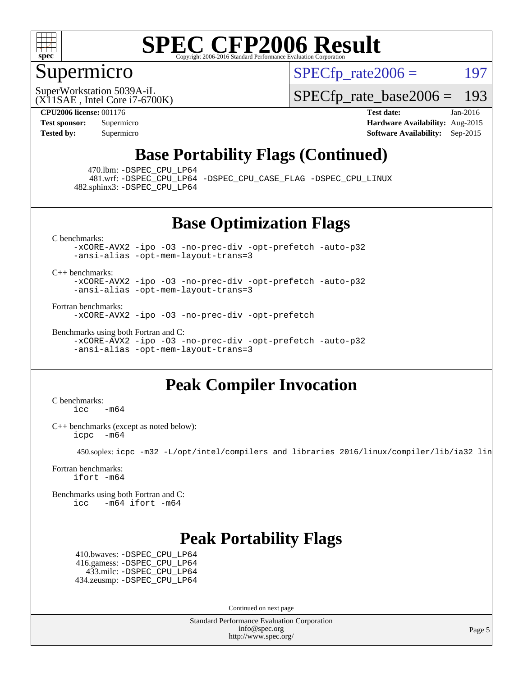

### Supermicro

 $SPECTp\_rate2006 = 197$ 

(X11SAE , Intel Core i7-6700K) SuperWorkstation 5039A-iL

[SPECfp\\_rate\\_base2006 =](http://www.spec.org/auto/cpu2006/Docs/result-fields.html#SPECfpratebase2006) 193

**[CPU2006 license:](http://www.spec.org/auto/cpu2006/Docs/result-fields.html#CPU2006license)** 001176 **[Test date:](http://www.spec.org/auto/cpu2006/Docs/result-fields.html#Testdate)** Jan-2016 **[Test sponsor:](http://www.spec.org/auto/cpu2006/Docs/result-fields.html#Testsponsor)** Supermicro **[Hardware Availability:](http://www.spec.org/auto/cpu2006/Docs/result-fields.html#HardwareAvailability)** Aug-2015 **[Tested by:](http://www.spec.org/auto/cpu2006/Docs/result-fields.html#Testedby)** Supermicro **Supermicro [Software Availability:](http://www.spec.org/auto/cpu2006/Docs/result-fields.html#SoftwareAvailability)** Sep-2015

### **[Base Portability Flags \(Continued\)](http://www.spec.org/auto/cpu2006/Docs/result-fields.html#BasePortabilityFlags)**

470.lbm: [-DSPEC\\_CPU\\_LP64](http://www.spec.org/cpu2006/results/res2016q1/cpu2006-20160120-38743.flags.html#suite_basePORTABILITY470_lbm_DSPEC_CPU_LP64)

 481.wrf: [-DSPEC\\_CPU\\_LP64](http://www.spec.org/cpu2006/results/res2016q1/cpu2006-20160120-38743.flags.html#suite_basePORTABILITY481_wrf_DSPEC_CPU_LP64) [-DSPEC\\_CPU\\_CASE\\_FLAG](http://www.spec.org/cpu2006/results/res2016q1/cpu2006-20160120-38743.flags.html#b481.wrf_baseCPORTABILITY_DSPEC_CPU_CASE_FLAG) [-DSPEC\\_CPU\\_LINUX](http://www.spec.org/cpu2006/results/res2016q1/cpu2006-20160120-38743.flags.html#b481.wrf_baseCPORTABILITY_DSPEC_CPU_LINUX) 482.sphinx3: [-DSPEC\\_CPU\\_LP64](http://www.spec.org/cpu2006/results/res2016q1/cpu2006-20160120-38743.flags.html#suite_basePORTABILITY482_sphinx3_DSPEC_CPU_LP64)

**[Base Optimization Flags](http://www.spec.org/auto/cpu2006/Docs/result-fields.html#BaseOptimizationFlags)**

[C benchmarks](http://www.spec.org/auto/cpu2006/Docs/result-fields.html#Cbenchmarks):

[-xCORE-AVX2](http://www.spec.org/cpu2006/results/res2016q1/cpu2006-20160120-38743.flags.html#user_CCbase_f-xAVX2_5f5fc0cbe2c9f62c816d3e45806c70d7) [-ipo](http://www.spec.org/cpu2006/results/res2016q1/cpu2006-20160120-38743.flags.html#user_CCbase_f-ipo) [-O3](http://www.spec.org/cpu2006/results/res2016q1/cpu2006-20160120-38743.flags.html#user_CCbase_f-O3) [-no-prec-div](http://www.spec.org/cpu2006/results/res2016q1/cpu2006-20160120-38743.flags.html#user_CCbase_f-no-prec-div) [-opt-prefetch](http://www.spec.org/cpu2006/results/res2016q1/cpu2006-20160120-38743.flags.html#user_CCbase_f-opt-prefetch) [-auto-p32](http://www.spec.org/cpu2006/results/res2016q1/cpu2006-20160120-38743.flags.html#user_CCbase_f-auto-p32) [-ansi-alias](http://www.spec.org/cpu2006/results/res2016q1/cpu2006-20160120-38743.flags.html#user_CCbase_f-ansi-alias) [-opt-mem-layout-trans=3](http://www.spec.org/cpu2006/results/res2016q1/cpu2006-20160120-38743.flags.html#user_CCbase_f-opt-mem-layout-trans_a7b82ad4bd7abf52556d4961a2ae94d5)

[C++ benchmarks:](http://www.spec.org/auto/cpu2006/Docs/result-fields.html#CXXbenchmarks)

[-xCORE-AVX2](http://www.spec.org/cpu2006/results/res2016q1/cpu2006-20160120-38743.flags.html#user_CXXbase_f-xAVX2_5f5fc0cbe2c9f62c816d3e45806c70d7) [-ipo](http://www.spec.org/cpu2006/results/res2016q1/cpu2006-20160120-38743.flags.html#user_CXXbase_f-ipo) [-O3](http://www.spec.org/cpu2006/results/res2016q1/cpu2006-20160120-38743.flags.html#user_CXXbase_f-O3) [-no-prec-div](http://www.spec.org/cpu2006/results/res2016q1/cpu2006-20160120-38743.flags.html#user_CXXbase_f-no-prec-div) [-opt-prefetch](http://www.spec.org/cpu2006/results/res2016q1/cpu2006-20160120-38743.flags.html#user_CXXbase_f-opt-prefetch) [-auto-p32](http://www.spec.org/cpu2006/results/res2016q1/cpu2006-20160120-38743.flags.html#user_CXXbase_f-auto-p32) [-ansi-alias](http://www.spec.org/cpu2006/results/res2016q1/cpu2006-20160120-38743.flags.html#user_CXXbase_f-ansi-alias) [-opt-mem-layout-trans=3](http://www.spec.org/cpu2006/results/res2016q1/cpu2006-20160120-38743.flags.html#user_CXXbase_f-opt-mem-layout-trans_a7b82ad4bd7abf52556d4961a2ae94d5)

[Fortran benchmarks](http://www.spec.org/auto/cpu2006/Docs/result-fields.html#Fortranbenchmarks):

[-xCORE-AVX2](http://www.spec.org/cpu2006/results/res2016q1/cpu2006-20160120-38743.flags.html#user_FCbase_f-xAVX2_5f5fc0cbe2c9f62c816d3e45806c70d7) [-ipo](http://www.spec.org/cpu2006/results/res2016q1/cpu2006-20160120-38743.flags.html#user_FCbase_f-ipo) [-O3](http://www.spec.org/cpu2006/results/res2016q1/cpu2006-20160120-38743.flags.html#user_FCbase_f-O3) [-no-prec-div](http://www.spec.org/cpu2006/results/res2016q1/cpu2006-20160120-38743.flags.html#user_FCbase_f-no-prec-div) [-opt-prefetch](http://www.spec.org/cpu2006/results/res2016q1/cpu2006-20160120-38743.flags.html#user_FCbase_f-opt-prefetch)

[Benchmarks using both Fortran and C](http://www.spec.org/auto/cpu2006/Docs/result-fields.html#BenchmarksusingbothFortranandC): [-xCORE-AVX2](http://www.spec.org/cpu2006/results/res2016q1/cpu2006-20160120-38743.flags.html#user_CC_FCbase_f-xAVX2_5f5fc0cbe2c9f62c816d3e45806c70d7) [-ipo](http://www.spec.org/cpu2006/results/res2016q1/cpu2006-20160120-38743.flags.html#user_CC_FCbase_f-ipo) [-O3](http://www.spec.org/cpu2006/results/res2016q1/cpu2006-20160120-38743.flags.html#user_CC_FCbase_f-O3) [-no-prec-div](http://www.spec.org/cpu2006/results/res2016q1/cpu2006-20160120-38743.flags.html#user_CC_FCbase_f-no-prec-div) [-opt-prefetch](http://www.spec.org/cpu2006/results/res2016q1/cpu2006-20160120-38743.flags.html#user_CC_FCbase_f-opt-prefetch) [-auto-p32](http://www.spec.org/cpu2006/results/res2016q1/cpu2006-20160120-38743.flags.html#user_CC_FCbase_f-auto-p32) [-ansi-alias](http://www.spec.org/cpu2006/results/res2016q1/cpu2006-20160120-38743.flags.html#user_CC_FCbase_f-ansi-alias) [-opt-mem-layout-trans=3](http://www.spec.org/cpu2006/results/res2016q1/cpu2006-20160120-38743.flags.html#user_CC_FCbase_f-opt-mem-layout-trans_a7b82ad4bd7abf52556d4961a2ae94d5)

### **[Peak Compiler Invocation](http://www.spec.org/auto/cpu2006/Docs/result-fields.html#PeakCompilerInvocation)**

[C benchmarks](http://www.spec.org/auto/cpu2006/Docs/result-fields.html#Cbenchmarks):  $\text{icc}$  -m64

[C++ benchmarks \(except as noted below\):](http://www.spec.org/auto/cpu2006/Docs/result-fields.html#CXXbenchmarksexceptasnotedbelow) [icpc -m64](http://www.spec.org/cpu2006/results/res2016q1/cpu2006-20160120-38743.flags.html#user_CXXpeak_intel_icpc_64bit_bedb90c1146cab66620883ef4f41a67e)

450.soplex: [icpc -m32 -L/opt/intel/compilers\\_and\\_libraries\\_2016/linux/compiler/lib/ia32\\_lin](http://www.spec.org/cpu2006/results/res2016q1/cpu2006-20160120-38743.flags.html#user_peakCXXLD450_soplex_intel_icpc_b4f50a394bdb4597aa5879c16bc3f5c5)

[Fortran benchmarks](http://www.spec.org/auto/cpu2006/Docs/result-fields.html#Fortranbenchmarks): [ifort -m64](http://www.spec.org/cpu2006/results/res2016q1/cpu2006-20160120-38743.flags.html#user_FCpeak_intel_ifort_64bit_ee9d0fb25645d0210d97eb0527dcc06e)

[Benchmarks using both Fortran and C](http://www.spec.org/auto/cpu2006/Docs/result-fields.html#BenchmarksusingbothFortranandC): [icc -m64](http://www.spec.org/cpu2006/results/res2016q1/cpu2006-20160120-38743.flags.html#user_CC_FCpeak_intel_icc_64bit_0b7121f5ab7cfabee23d88897260401c) [ifort -m64](http://www.spec.org/cpu2006/results/res2016q1/cpu2006-20160120-38743.flags.html#user_CC_FCpeak_intel_ifort_64bit_ee9d0fb25645d0210d97eb0527dcc06e)

### **[Peak Portability Flags](http://www.spec.org/auto/cpu2006/Docs/result-fields.html#PeakPortabilityFlags)**

 410.bwaves: [-DSPEC\\_CPU\\_LP64](http://www.spec.org/cpu2006/results/res2016q1/cpu2006-20160120-38743.flags.html#suite_peakPORTABILITY410_bwaves_DSPEC_CPU_LP64) 416.gamess: [-DSPEC\\_CPU\\_LP64](http://www.spec.org/cpu2006/results/res2016q1/cpu2006-20160120-38743.flags.html#suite_peakPORTABILITY416_gamess_DSPEC_CPU_LP64) 433.milc: [-DSPEC\\_CPU\\_LP64](http://www.spec.org/cpu2006/results/res2016q1/cpu2006-20160120-38743.flags.html#suite_peakPORTABILITY433_milc_DSPEC_CPU_LP64) 434.zeusmp: [-DSPEC\\_CPU\\_LP64](http://www.spec.org/cpu2006/results/res2016q1/cpu2006-20160120-38743.flags.html#suite_peakPORTABILITY434_zeusmp_DSPEC_CPU_LP64)

Continued on next page

Standard Performance Evaluation Corporation [info@spec.org](mailto:info@spec.org) <http://www.spec.org/>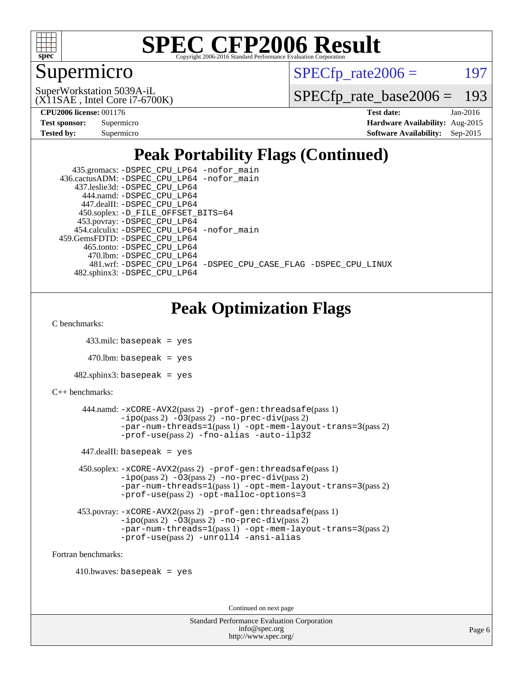

### Supermicro

 $SPECTp\_rate2006 = 197$ 

(X11SAE , Intel Core i7-6700K) SuperWorkstation 5039A-iL

[SPECfp\\_rate\\_base2006 =](http://www.spec.org/auto/cpu2006/Docs/result-fields.html#SPECfpratebase2006) 193

**[CPU2006 license:](http://www.spec.org/auto/cpu2006/Docs/result-fields.html#CPU2006license)** 001176 **[Test date:](http://www.spec.org/auto/cpu2006/Docs/result-fields.html#Testdate)** Jan-2016

| <b>Test sponsor:</b> | Supermicro |
|----------------------|------------|
| Tested by:           | Supermicro |

**[Hardware Availability:](http://www.spec.org/auto/cpu2006/Docs/result-fields.html#HardwareAvailability)** Aug-2015 **[Software Availability:](http://www.spec.org/auto/cpu2006/Docs/result-fields.html#SoftwareAvailability)** Sep-2015

# **[Peak Portability Flags \(Continued\)](http://www.spec.org/auto/cpu2006/Docs/result-fields.html#PeakPortabilityFlags)**

| 435.gromacs: -DSPEC_CPU_LP64 -nofor_main                       |
|----------------------------------------------------------------|
| 436.cactusADM: -DSPEC CPU LP64 -nofor main                     |
| 437.leslie3d: -DSPEC CPU LP64                                  |
| 444.namd: -DSPEC CPU LP64                                      |
| 447.dealII: -DSPEC CPU LP64                                    |
| 450.soplex: -D_FILE_OFFSET_BITS=64                             |
| 453.povray: -DSPEC_CPU_LP64                                    |
| 454.calculix: -DSPEC CPU LP64 -nofor main                      |
| 459. GemsFDTD: - DSPEC CPU LP64                                |
| 465.tonto: -DSPEC CPU LP64                                     |
| 470.1bm: -DSPEC_CPU_LP64                                       |
| 481.wrf: -DSPEC CPU LP64 -DSPEC CPU CASE FLAG -DSPEC CPU LINUX |
| 482.sphinx3: -DSPEC CPU LP64                                   |

# **[Peak Optimization Flags](http://www.spec.org/auto/cpu2006/Docs/result-fields.html#PeakOptimizationFlags)**

[C benchmarks](http://www.spec.org/auto/cpu2006/Docs/result-fields.html#Cbenchmarks):

```
 433.milc: basepeak = yes
```
 $470.$ lbm: basepeak = yes

```
482.sphinx3: basepeak = yes
```

```
C++ benchmarks:
```

```
 444.namd: -xCORE-AVX2(pass 2) -prof-gen:threadsafe(pass 1)
        -no-prec-div(pass 2)-par-num-threads=1(pass 1) -opt-mem-layout-trans=3(pass 2)
        -prof-use(pass 2) -fno-alias -auto-ilp32
447.dealII: basepeak = yes
 450.soplex: -xCORE-AVX2(pass 2) -prof-gen:threadsafe(pass 1)
         -ipo(pass 2) -O3(pass 2) -no-prec-div(pass 2)
         -par-num-threads=1(pass 1) -opt-mem-layout-trans=3(pass 2)
         -prof-use(pass 2) -opt-malloc-options=3
```

```
 453.povray: -xCORE-AVX2(pass 2) -prof-gen:threadsafe(pass 1)
        -no-prec-div(pass 2)-par-num-threads=1(pass 1) -opt-mem-layout-trans=3(pass 2)
        -prof-use(pass 2) -unroll4 -ansi-alias
```
[Fortran benchmarks](http://www.spec.org/auto/cpu2006/Docs/result-fields.html#Fortranbenchmarks):

```
410.bwaves: basepeak = yes
```
Continued on next page

Standard Performance Evaluation Corporation [info@spec.org](mailto:info@spec.org) <http://www.spec.org/>